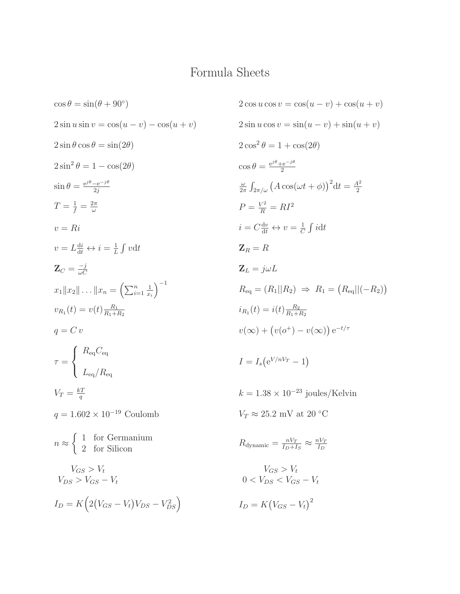## Formula Sheets

$$
\cos \theta = \sin(\theta + 90^{\circ})
$$
\n
$$
2 \cos u \cos v = \cos(u - v) + \cos(u + v)
$$
\n
$$
2 \sin u \sin v = \cos(u - v) - \cos(u + v)
$$
\n
$$
2 \sin u \cos v = \sin(u - v) + \sin(u + v)
$$
\n
$$
2 \sin \theta \cos \theta = \sin(2\theta)
$$
\n
$$
2 \cos^{2} \theta = 1 + \cos(2\theta)
$$
\n
$$
2 \cos^{2} \theta = 1 + \cos(2\theta)
$$
\n
$$
\cos \theta = \frac{e^{i\theta} - e^{-i\theta}}{2}
$$
\n
$$
\sin \theta = \frac{e^{i\theta} - e^{-i\theta}}{2i}
$$
\n
$$
T = \frac{1}{f} = \frac{2\pi}{\omega}
$$
\n
$$
T = \frac{1}{f} = \frac{2\pi}{\omega}
$$
\n
$$
T = \frac{1}{d} = \frac{2\pi}{\omega}
$$
\n
$$
V = Ri
$$
\n
$$
V = I_{dd}^{di} \leftrightarrow i = \frac{1}{L} \int v dt
$$
\n
$$
Z_{R} = R
$$
\n
$$
Z_{C} = \frac{-i}{\omega C}
$$
\n
$$
Z_{L} = j\omega L
$$
\n
$$
x_{1}||x_{2}|| \dots ||x_{n} = (\sum_{i=1}^{n} \frac{1}{x_{i}})^{-1}
$$
\n
$$
R_{eq} = (R_{1}||R_{2}) \Rightarrow R_{1} = (R_{eq}||(-R_{2}) - R_{1})
$$
\n
$$
v_{R_{1}}(t) = v(t) \frac{R_{2}}{R_{1} + R_{2}}
$$
\n
$$
q = C v
$$
\n
$$
\tau = \begin{cases} R_{eq}C_{eq} \\ R_{eq} \\ R_{eq} \end{cases}
$$
\n
$$
V_{T} = \frac{kT}{q} \qquad k = 1.38 \times 10^{-23} \text{ joules/Kelvin}
$$
\n
$$
q = 1.602 \times 10^{-19} \text{ Coulomb}
$$
\n
$$
V_{R} \approx 25.2 \text{ mV at } 20^{\circ} \text{C}
$$
\

$$
2 \cos u \cos v = \cos(u - v) + \cos(u + v)
$$
\n
$$
u - v) - \cos(u + v)
$$
\n
$$
2 \sin u \cos v = \sin(u - v) + \sin(u + v)
$$
\n
$$
2 \cos^2 \theta = 1 + \cos(2\theta)
$$
\n
$$
\cos \theta = \frac{e^{j\theta} + e^{-j\theta}}{2}
$$
\n
$$
\frac{\omega}{2\pi} \int_{2\pi/\omega} (A \cos(\omega t + \phi))^2 dt = \frac{A^2}{2}
$$
\n
$$
P = \frac{V^2}{R} = R I^2
$$
\n
$$
i = C \frac{dv}{dt} \leftrightarrow v = \frac{1}{C} \int i dt
$$
\n
$$
v dt
$$
\n
$$
Z_R = R
$$
\n
$$
Z_L = j\omega L
$$
\n
$$
\sum_{i=1}^n \frac{1}{x_i} \Big)^{-1}
$$
\n
$$
R_{\text{eq}} = (R_1 || R_2) \Rightarrow R_1 = (R_{\text{eq}} || (-R_2))
$$
\n
$$
i_{R_1}(t) = i(t) \frac{R_2}{R_1 + R_2}
$$
\n
$$
v(\infty) + (v(\sigma^+) - v(\infty)) e^{-t/\tau}
$$
\n
$$
I = I_s (e^{V/nV_T} - 1)
$$
\n
$$
k = 1.38 \times 10^{-23} \text{ joules/Kelvin}
$$
\n
$$
\text{Coulomb}
$$
\n
$$
V_T \approx 25.2 \text{ mV at } 20 \text{ °C}
$$

$$
R_{\text{dynamic}} = \frac{nV_T}{I_D + I_S} \approx \frac{nV_T}{I_D}
$$

$$
V_{GS} > V_t
$$
  

$$
0 < V_{DS} < V_{GS} - V_t
$$

$$
I_D = K(V_{GS} - V_t)^2
$$